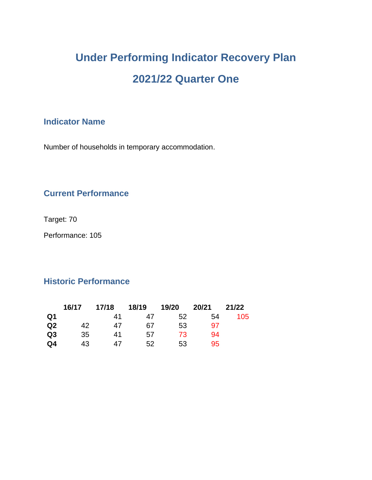# **Under Performing Indicator Recovery Plan 2021/22 Quarter One**

## **Indicator Name**

Number of households in temporary accommodation.

## **Current Performance**

Target: 70

Performance: 105

#### **Historic Performance**

|                | 16/17 | 17/18 | 18/19 | 19/20 | 20/21 | 21/22 |
|----------------|-------|-------|-------|-------|-------|-------|
| Q1             |       | 41    | 47    | 52    | 54    | 105   |
| Q2             | 42    | 47    | 67    | 53    | 97    |       |
| Q <sub>3</sub> | 35    | 41    | 57    | 73    | 94    |       |
| Q4             | 43    | 47    | 52    | 53    | 95    |       |